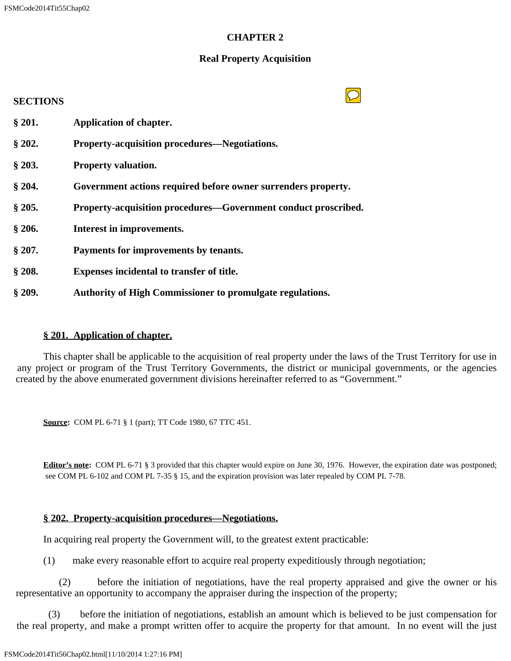# **CHAPTER 2**

## **Real Property Acquisition**

# **SECTIONS § 201. Application of chapter. § 202. Property-acquisition procedures—Negotiations. § 203. Property valuation. § 204. Government actions required before owner surrenders property. § 205. Property-acquisition procedures—Government conduct proscribed. § 206. Interest in improvements. § 207. Payments for improvements by tenants. § 208. Expenses incidental to transfer of title. § 209. Authority of High Commissioner to promulgate regulations.**

# **§ 201. Application of chapter.**

 This chapter shall be applicable to the acquisition of real property under the laws of the Trust Territory for use in any project or program of the Trust Territory Governments, the district or municipal governments, or the agencies created by the above enumerated government divisions hereinafter referred to as "Government."

**Source:** COM PL 6-71 § 1 (part); TT Code 1980, 67 TTC 451.

**Editor's note:** COM PL 6-71 § 3 provided that this chapter would expire on June 30, 1976. However, the expiration date was postponed; see COM PL 6-102 and COM PL 7-35 § 15, and the expiration provision was later repealed by COM PL 7-78.

#### **§ 202. Property-acquisition procedures—Negotiations.**

In acquiring real property the Government will, to the greatest extent practicable:

(1) make every reasonable effort to acquire real property expeditiously through negotiation;

 (2) before the initiation of negotiations, have the real property appraised and give the owner or his representative an opportunity to accompany the appraiser during the inspection of the property;

 (3) before the initiation of negotiations, establish an amount which is believed to be just compensation for the real property, and make a prompt written offer to acquire the property for that amount. In no event will the just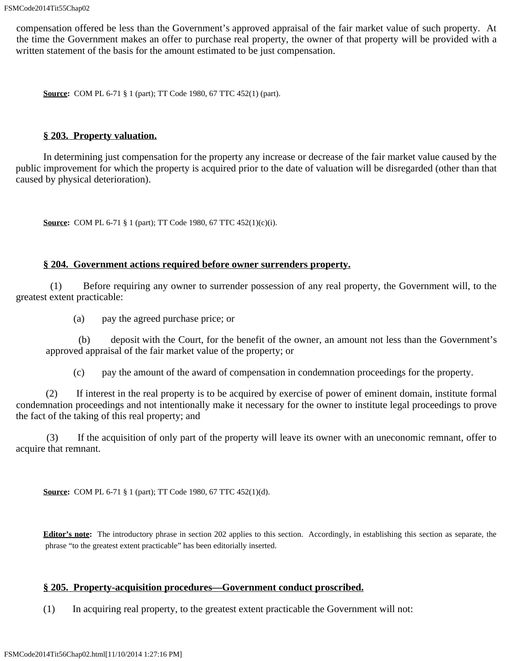compensation offered be less than the Government's approved appraisal of the fair market value of such property. At the time the Government makes an offer to purchase real property, the owner of that property will be provided with a written statement of the basis for the amount estimated to be just compensation.

**Source:** COM PL 6-71 § 1 (part); TT Code 1980, 67 TTC 452(1) (part).

#### **§ 203. Property valuation.**

 In determining just compensation for the property any increase or decrease of the fair market value caused by the public improvement for which the property is acquired prior to the date of valuation will be disregarded (other than that caused by physical deterioration).

**Source:** COM PL 6-71 § 1 (part); TT Code 1980, 67 TTC 452(1)(c)(i).

## **§ 204. Government actions required before owner surrenders property.**

 (1) Before requiring any owner to surrender possession of any real property, the Government will, to the greatest extent practicable:

(a) pay the agreed purchase price; or

 (b) deposit with the Court, for the benefit of the owner, an amount not less than the Government's approved appraisal of the fair market value of the property; or

(c) pay the amount of the award of compensation in condemnation proceedings for the property.

 (2) If interest in the real property is to be acquired by exercise of power of eminent domain, institute formal condemnation proceedings and not intentionally make it necessary for the owner to institute legal proceedings to prove the fact of the taking of this real property; and

 (3) If the acquisition of only part of the property will leave its owner with an uneconomic remnant, offer to acquire that remnant.

**Source:** COM PL 6-71 § 1 (part); TT Code 1980, 67 TTC 452(1)(d).

**Editor's note:** The introductory phrase in section 202 applies to this section. Accordingly, in establishing this section as separate, the phrase "to the greatest extent practicable" has been editorially inserted.

#### **§ 205. Property-acquisition procedures—Government conduct proscribed.**

(1) In acquiring real property, to the greatest extent practicable the Government will not: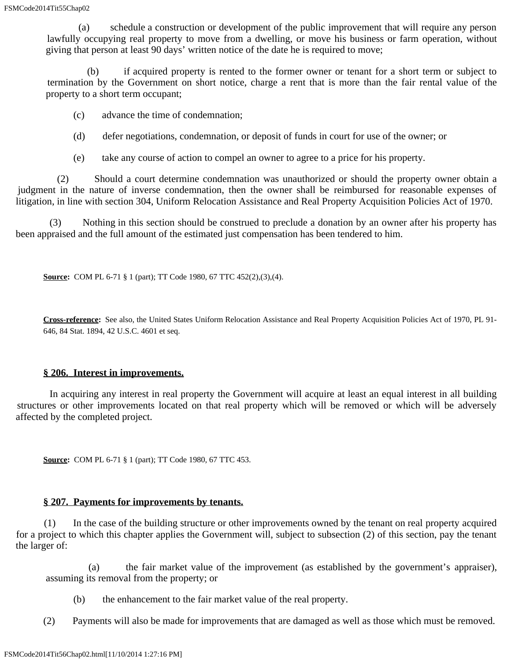(a) schedule a construction or development of the public improvement that will require any person lawfully occupying real property to move from a dwelling, or move his business or farm operation, without giving that person at least 90 days' written notice of the date he is required to move;

 (b) if acquired property is rented to the former owner or tenant for a short term or subject to termination by the Government on short notice, charge a rent that is more than the fair rental value of the property to a short term occupant;

- (c) advance the time of condemnation;
- (d) defer negotiations, condemnation, or deposit of funds in court for use of the owner; or
- (e) take any course of action to compel an owner to agree to a price for his property.

 (2) Should a court determine condemnation was unauthorized or should the property owner obtain a judgment in the nature of inverse condemnation, then the owner shall be reimbursed for reasonable expenses of litigation, in line with section 304, Uniform Relocation Assistance and Real Property Acquisition Policies Act of 1970.

 (3) Nothing in this section should be construed to preclude a donation by an owner after his property has been appraised and the full amount of the estimated just compensation has been tendered to him.

**Source:** COM PL 6-71 § 1 (part); TT Code 1980, 67 TTC 452(2),(3),(4).

**Cross-reference:** See also, the United States Uniform Relocation Assistance and Real Property Acquisition Policies Act of 1970, PL 91- 646, 84 Stat. 1894, 42 U.S.C. 4601 et seq.

#### **§ 206. Interest in improvements.**

 In acquiring any interest in real property the Government will acquire at least an equal interest in all building structures or other improvements located on that real property which will be removed or which will be adversely affected by the completed project.

**Source:** COM PL 6-71 § 1 (part); TT Code 1980, 67 TTC 453.

#### **§ 207. Payments for improvements by tenants.**

 (1) In the case of the building structure or other improvements owned by the tenant on real property acquired for a project to which this chapter applies the Government will, subject to subsection (2) of this section, pay the tenant the larger of:

 (a) the fair market value of the improvement (as established by the government's appraiser), assuming its removal from the property; or

- (b) the enhancement to the fair market value of the real property.
- (2) Payments will also be made for improvements that are damaged as well as those which must be removed.